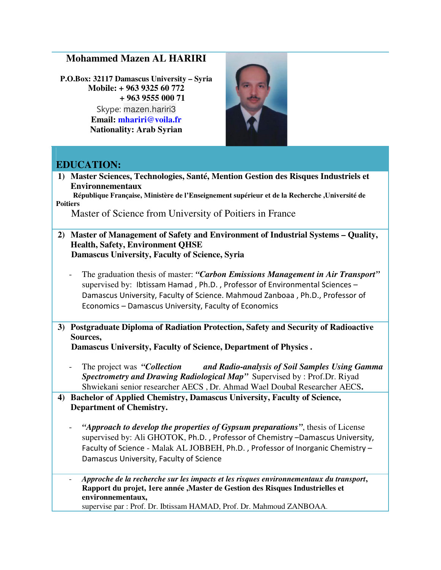## **Mohammed Mazen AL HARIRI**

**P.O.Box: 32117 Damascus University – Syria Mobile: + 963 9325 60 772 + 963 9555 000 71**

> Skype: mazen.hariri3 **Email: mhariri@voila.fr Nationality: Arab Syrian**



## **EDUCATION:**

**1) Master Sciences, Technologies, Santé, Mention Gestion des Risques Industriels et Environnementaux** 

 **République Française, Ministère de l'Enseignement supérieur et de la Recherche ,Université de Poitiers** 

Master of Science from University of Poitiers in France

- **2) Master of Management of Safety and Environment of Industrial Systems Quality, Health, Safety, Environment QHSE Damascus University, Faculty of Science, Syria** 
	- The graduation thesis of master: *"Carbon Emissions Management in Air Transport"* supervised by: Ibtissam Hamad , Ph.D. , Professor of Environmental Sciences – Damascus University, Faculty of Science. Mahmoud Zanboaa , Ph.D., Professor of Economics – Damascus University, Faculty of Economics
- **3) Postgraduate Diploma of Radiation Protection, Safety and Security of Radioactive Sources,**

 **Damascus University, Faculty of Science, Department of Physics .** 

- The project was *"Collection and Radio-analysis of Soil Samples Using Gamma Spectrometry and Drawing Radiological Map"* Supervised by : Prof.Dr. Riyad Shwiekani senior researcher AECS , Dr. Ahmad Wael Doubal Researcher AECS**.**
- **4) Bachelor of Applied Chemistry, Damascus University, Faculty of Science, Department of Chemistry.** 
	- "Approach to develop the properties of Gypsum preparations", thesis of License supervised by: Ali GHOTOK, Ph.D. , Professor of Chemistry –Damascus University, Faculty of Science - Malak AL JOBBEH, Ph.D. , Professor of Inorganic Chemistry – Damascus University, Faculty of Science
	- *Approche de la recherche sur les impacts et les risques environnementaux du transport***, Rapport du projet, 1ere année ,Master de Gestion des Risques Industrielles et environnementaux,**

supervise par : Prof. Dr. Ibtissam HAMAD, Prof. Dr. Mahmoud ZANBOAA.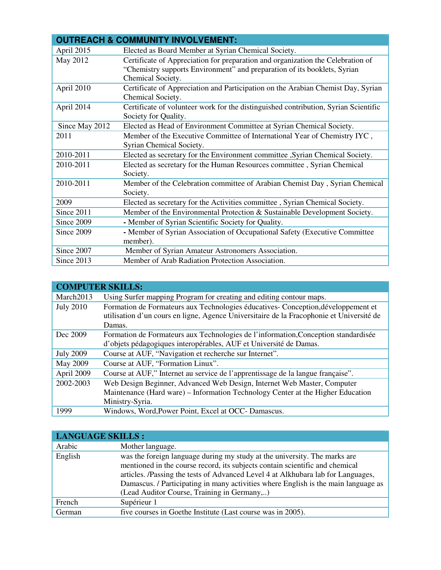| <b>OUTREACH &amp; COMMUNITY INVOLVEMENT:</b> |                                                                                     |  |
|----------------------------------------------|-------------------------------------------------------------------------------------|--|
| April 2015                                   | Elected as Board Member at Syrian Chemical Society.                                 |  |
| May 2012                                     | Certificate of Appreciation for preparation and organization the Celebration of     |  |
|                                              | "Chemistry supports Environment" and preparation of its booklets, Syrian            |  |
|                                              | Chemical Society.                                                                   |  |
| April 2010                                   | Certificate of Appreciation and Participation on the Arabian Chemist Day, Syrian    |  |
|                                              | Chemical Society.                                                                   |  |
| April 2014                                   | Certificate of volunteer work for the distinguished contribution, Syrian Scientific |  |
|                                              | Society for Quality.                                                                |  |
| Since May 2012                               | Elected as Head of Environment Committee at Syrian Chemical Society.                |  |
| 2011                                         | Member of the Executive Committee of International Year of Chemistry IYC,           |  |
|                                              | Syrian Chemical Society.                                                            |  |
| 2010-2011                                    | Elected as secretary for the Environment committee , Syrian Chemical Society.       |  |
| 2010-2011                                    | Elected as secretary for the Human Resources committee, Syrian Chemical             |  |
|                                              | Society.                                                                            |  |
| 2010-2011                                    | Member of the Celebration committee of Arabian Chemist Day, Syrian Chemical         |  |
|                                              | Society.                                                                            |  |
| 2009                                         | Elected as secretary for the Activities committee, Syrian Chemical Society.         |  |
| Since 2011                                   | Member of the Environmental Protection & Sustainable Development Society.           |  |
| Since 2009                                   | - Member of Syrian Scientific Society for Quality.                                  |  |
| Since 2009                                   | - Member of Syrian Association of Occupational Safety (Executive Committee)         |  |
|                                              | member).                                                                            |  |
| Since 2007                                   | Member of Syrian Amateur Astronomers Association.                                   |  |
| Since 2013                                   | Member of Arab Radiation Protection Association.                                    |  |

| <b>COMPUTER SKILLS:</b> |                                                                                          |  |
|-------------------------|------------------------------------------------------------------------------------------|--|
| March2013               | Using Surfer mapping Program for creating and editing contour maps.                      |  |
| <b>July 2010</b>        | Formation de Formateurs aux Technologies éducatives- Conception, développement et        |  |
|                         | utilisation d'un cours en ligne, Agence Universitaire de la Fracophonie et Université de |  |
|                         | Damas.                                                                                   |  |
| Dec 2009                | Formation de Formateurs aux Technologies de l'information, Conception standardisée       |  |
|                         | d'objets pédagogiques interopérables, AUF et Université de Damas.                        |  |
| <b>July 2009</b>        | Course at AUF, "Navigation et recherche sur Internet".                                   |  |
| May 2009                | Course at AUF, "Formation Linux".                                                        |  |
| April 2009              | Course at AUF," Internet au service de l'apprentissage de la langue française".          |  |
| 2002-2003               | Web Design Beginner, Advanced Web Design, Internet Web Master, Computer                  |  |
|                         | Maintenance (Hard ware) – Information Technology Center at the Higher Education          |  |
|                         | Ministry-Syria.                                                                          |  |
| 1999                    | Windows, Word, Power Point, Excel at OCC-Damascus.                                       |  |

| <b>LANGUAGE SKILLS:</b> |                                                                                                                                                                                                                                                                                                                                                                                    |  |
|-------------------------|------------------------------------------------------------------------------------------------------------------------------------------------------------------------------------------------------------------------------------------------------------------------------------------------------------------------------------------------------------------------------------|--|
| Arabic                  | Mother language.                                                                                                                                                                                                                                                                                                                                                                   |  |
| English                 | was the foreign language during my study at the university. The marks are<br>mentioned in the course record, its subjects contain scientific and chemical<br>articles. /Passing the tests of Advanced Level 4 at Alkhubara lab for Languages,<br>Damascus. / Participating in many activities where English is the main language as<br>(Lead Auditor Course, Training in Germany,) |  |
| French                  | Supérieur 1                                                                                                                                                                                                                                                                                                                                                                        |  |
| German                  | five courses in Goethe Institute (Last course was in 2005).                                                                                                                                                                                                                                                                                                                        |  |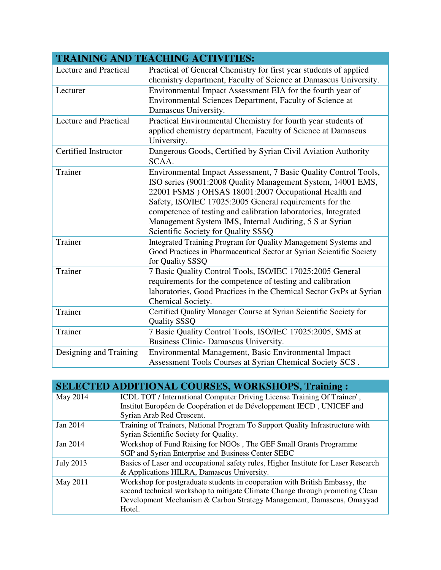| <b>TRAINING AND TEACHING ACTIVITIES:</b> |                                                                      |  |
|------------------------------------------|----------------------------------------------------------------------|--|
| <b>Lecture and Practical</b>             | Practical of General Chemistry for first year students of applied    |  |
|                                          | chemistry department, Faculty of Science at Damascus University.     |  |
| Lecturer                                 | Environmental Impact Assessment EIA for the fourth year of           |  |
|                                          | Environmental Sciences Department, Faculty of Science at             |  |
|                                          | Damascus University.                                                 |  |
| <b>Lecture and Practical</b>             | Practical Environmental Chemistry for fourth year students of        |  |
|                                          | applied chemistry department, Faculty of Science at Damascus         |  |
|                                          | University.                                                          |  |
| Certified Instructor                     | Dangerous Goods, Certified by Syrian Civil Aviation Authority        |  |
|                                          | SCAA.                                                                |  |
| Trainer                                  | Environmental Impact Assessment, 7 Basic Quality Control Tools,      |  |
|                                          | ISO series (9001:2008 Quality Management System, 14001 EMS,          |  |
|                                          | 22001 FSMS ) OHSAS 18001:2007 Occupational Health and                |  |
|                                          | Safety, ISO/IEC 17025:2005 General requirements for the              |  |
|                                          | competence of testing and calibration laboratories, Integrated       |  |
|                                          | Management System IMS, Internal Auditing, 5 S at Syrian              |  |
|                                          | Scientific Society for Quality SSSQ                                  |  |
| Trainer                                  | Integrated Training Program for Quality Management Systems and       |  |
|                                          | Good Practices in Pharmaceutical Sector at Syrian Scientific Society |  |
|                                          | for Quality SSSQ                                                     |  |
| Trainer                                  | 7 Basic Quality Control Tools, ISO/IEC 17025:2005 General            |  |
|                                          | requirements for the competence of testing and calibration           |  |
|                                          | laboratories, Good Practices in the Chemical Sector GxPs at Syrian   |  |
|                                          | Chemical Society.                                                    |  |
| Trainer                                  | Certified Quality Manager Course at Syrian Scientific Society for    |  |
| Trainer                                  | <b>Quality SSSQ</b>                                                  |  |
|                                          | 7 Basic Quality Control Tools, ISO/IEC 17025:2005, SMS at            |  |
|                                          | Business Clinic-Damascus University.                                 |  |
| Designing and Training                   | Environmental Management, Basic Environmental Impact                 |  |
|                                          | Assessment Tools Courses at Syrian Chemical Society SCS.             |  |

| <b>SELECTED ADDITIONAL COURSES, WORKSHOPS, Training:</b>                           |
|------------------------------------------------------------------------------------|
| ICDL TOT / International Computer Driving License Training Of Trainer/,            |
| Institut Européen de Coopération et de Développement IECD, UNICEF and              |
| Syrian Arab Red Crescent.                                                          |
| Training of Trainers, National Program To Support Quality Infrastructure with      |
| Syrian Scientific Society for Quality.                                             |
| Workshop of Fund Raising for NGOs, The GEF Small Grants Programme                  |
| SGP and Syrian Enterprise and Business Center SEBC                                 |
| Basics of Laser and occupational safety rules, Higher Institute for Laser Research |
| & Applications HILRA, Damascus University.                                         |
| Workshop for postgraduate students in cooperation with British Embassy, the        |
| second technical workshop to mitigate Climate Change through promoting Clean       |
| Development Mechanism & Carbon Strategy Management, Damascus, Omayyad              |
| Hotel.                                                                             |
|                                                                                    |